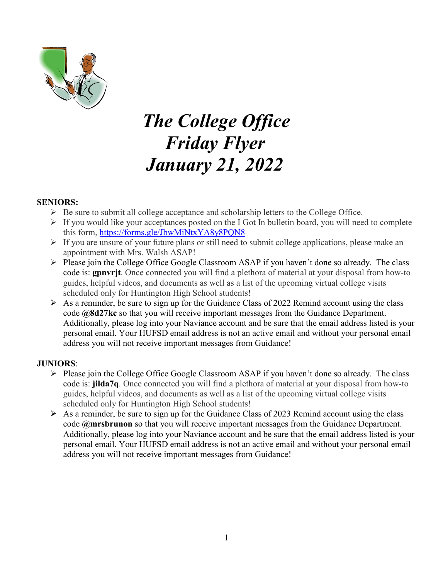

# *The College Office Friday Flyer January 21, 2022*

#### **SENIORS:**

- $\triangleright$  Be sure to submit all college acceptance and scholarship letters to the College Office.
- $\triangleright$  If you would like your acceptances posted on the I Got In bulletin board, you will need to complete this form,<https://forms.gle/JbwMiNtxYA8y8PQN8>
- $\triangleright$  If you are unsure of your future plans or still need to submit college applications, please make an appointment with Mrs. Walsh ASAP!
- $\triangleright$  Please join the College Office Google Classroom ASAP if you haven't done so already. The class code is: **gpnvrjt**. Once connected you will find a plethora of material at your disposal from how-to guides, helpful videos, and documents as well as a list of the upcoming virtual college visits scheduled only for Huntington High School students!
- $\triangleright$  As a reminder, be sure to sign up for the Guidance Class of 2022 Remind account using the class code **@8d27kc** so that you will receive important messages from the Guidance Department. Additionally, please log into your Naviance account and be sure that the email address listed is your personal email. Your HUFSD email address is not an active email and without your personal email address you will not receive important messages from Guidance!

#### **JUNIORS**:

- Please join the College Office Google Classroom ASAP if you haven't done so already. The class code is: **jilda7q**. Once connected you will find a plethora of material at your disposal from how-to guides, helpful videos, and documents as well as a list of the upcoming virtual college visits scheduled only for Huntington High School students!
- $\triangleright$  As a reminder, be sure to sign up for the Guidance Class of 2023 Remind account using the class code **@mrsbrunon** so that you will receive important messages from the Guidance Department. Additionally, please log into your Naviance account and be sure that the email address listed is your personal email. Your HUFSD email address is not an active email and without your personal email address you will not receive important messages from Guidance!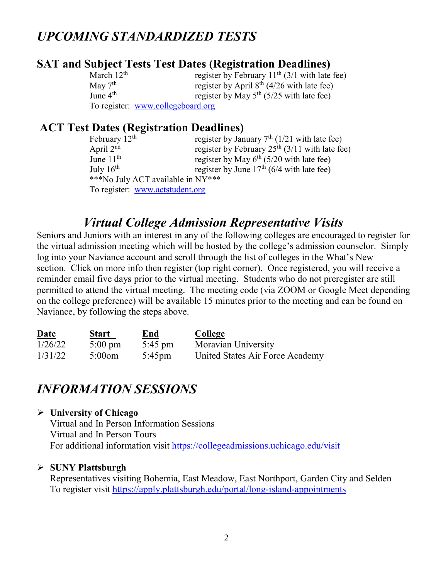# *UPCOMING STANDARDIZED TESTS*

# **SAT and Subject Tests Test Dates (Registration Deadlines)**

| March $12th$ | register by February $11^{th}$ (3/1 with late fee) |
|--------------|----------------------------------------------------|
| May $7th$    | register by April $8^{th}$ (4/26 with late fee)    |
| June $4th$   | register by May $5^{th}$ (5/25 with late fee)      |
|              | To register: www.collegeboard.org                  |

# **ACT Test Dates (Registration Deadlines)**

| February $12th$                   | register by January $7th$ (1/21 with late fee)   |  |  |  |
|-----------------------------------|--------------------------------------------------|--|--|--|
| April $2nd$                       | register by February $25th$ (3/11 with late fee) |  |  |  |
| June $11th$                       | register by May $6^{th}$ (5/20 with late fee)    |  |  |  |
| July $16^{th}$                    | register by June $17th$ (6/4 with late fee)      |  |  |  |
| ***No July ACT available in NY*** |                                                  |  |  |  |
| To register: www.actstudent.org   |                                                  |  |  |  |

# *Virtual College Admission Representative Visits*

Seniors and Juniors with an interest in any of the following colleges are encouraged to register for the virtual admission meeting which will be hosted by the college's admission counselor. Simply log into your Naviance account and scroll through the list of colleges in the What's New section. Click on more info then register (top right corner). Once registered, you will receive a reminder email five days prior to the virtual meeting. Students who do not preregister are still permitted to attend the virtual meeting. The meeting code (via ZOOM or Google Meet depending on the college preference) will be available 15 minutes prior to the meeting and can be found on Naviance, by following the steps above.

| <b>Date</b> | <b>Start</b>      | <u>End</u>        | College                         |
|-------------|-------------------|-------------------|---------------------------------|
| 1/26/22     | $5:00 \text{ pm}$ | $5:45 \text{ pm}$ | Moravian University             |
| 1/31/22     | $5:00$ om         | $5:45 \text{pm}$  | United States Air Force Academy |

# *INFORMATION SESSIONS*

#### **University of Chicago**

Virtual and In Person Information Sessions Virtual and In Person Tours For additional information visit<https://collegeadmissions.uchicago.edu/visit>

#### **SUNY Plattsburgh**

Representatives visiting Bohemia, East Meadow, East Northport, Garden City and Selden To register visit<https://apply.plattsburgh.edu/portal/long-island-appointments>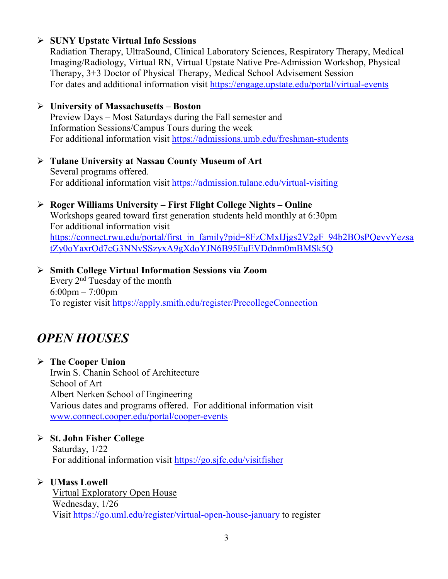#### **SUNY Upstate Virtual Info Sessions**

Radiation Therapy, UltraSound, Clinical Laboratory Sciences, Respiratory Therapy, Medical Imaging/Radiology, Virtual RN, Virtual Upstate Native Pre-Admission Workshop, Physical Therapy, 3+3 Doctor of Physical Therapy, Medical School Advisement Session For dates and additional information visit<https://engage.upstate.edu/portal/virtual-events>

#### **University of Massachusetts – Boston**

Preview Days – Most Saturdays during the Fall semester and Information Sessions/Campus Tours during the week For additional information visit<https://admissions.umb.edu/freshman-students>

 **Tulane University at Nassau County Museum of Art** Several programs offered. For additional information visit<https://admission.tulane.edu/virtual-visiting>

#### **Roger Williams University – First Flight College Nights – Online**

Workshops geared toward first generation students held monthly at 6:30pm For additional information visit [https://connect.rwu.edu/portal/first\\_in\\_family?pid=8FzCMxIJjgs2V2gF\\_94b2BOsPQevyYezsa](https://connect.rwu.edu/portal/first_in_family?pid=8FzCMxIJjgs2V2gF_94b2BOsPQevyYezsatZy0oYaxrOd7cG3NNvSSzyxA9gXdoYJN6B95EuEVDdnm0mBMSk5Q) [tZy0oYaxrOd7cG3NNvSSzyxA9gXdoYJN6B95EuEVDdnm0mBMSk5Q](https://connect.rwu.edu/portal/first_in_family?pid=8FzCMxIJjgs2V2gF_94b2BOsPQevyYezsatZy0oYaxrOd7cG3NNvSSzyxA9gXdoYJN6B95EuEVDdnm0mBMSk5Q)

 **Smith College Virtual Information Sessions via Zoom** Every 2nd Tuesday of the month 6:00pm – 7:00pm To register visit <https://apply.smith.edu/register/PrecollegeConnection>

# *OPEN HOUSES*

#### **The Cooper Union** Irwin S. Chanin School of Architecture School of Art Albert Nerken School of Engineering Various dates and programs offered. For additional information visit [www.connect.cooper.edu/portal/cooper-events](http://www.connect.cooper.edu/portal/cooper-events)

### **St. John Fisher College**

Saturday, 1/22 For additional information visit<https://go.sjfc.edu/visitfisher>

### **UMass Lowell**

Virtual Exploratory Open House Wednesday, 1/26 Visit<https://go.uml.edu/register/virtual-open-house-january> to register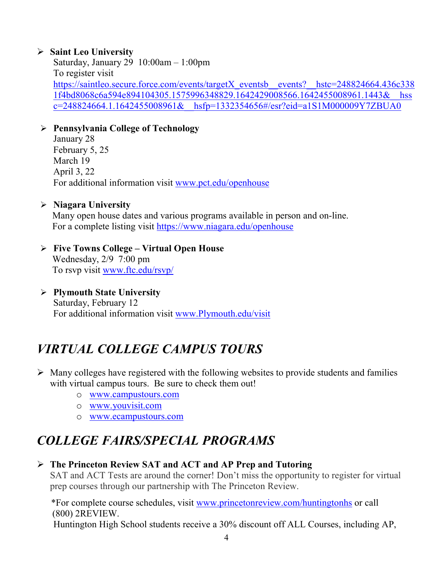#### **Saint Leo University**

Saturday, January 29 10:00am – 1:00pm To register visit [https://saintleo.secure.force.com/events/targetX\\_eventsb\\_\\_events?\\_\\_hstc=248824664.436c338](https://saintleo.secure.force.com/events/targetX_eventsb__events?__hstc=248824664.436c3381f4bd8068c6a594e894104305.1575996348829.1642429008566.1642455008961.1443&__hssc=248824664.1.1642455008961&__hsfp=1332354656#/esr?eid=a1S1M000009Y7ZBUA0) [1f4bd8068c6a594e894104305.1575996348829.1642429008566.1642455008961.1443&\\_\\_hss](https://saintleo.secure.force.com/events/targetX_eventsb__events?__hstc=248824664.436c3381f4bd8068c6a594e894104305.1575996348829.1642429008566.1642455008961.1443&__hssc=248824664.1.1642455008961&__hsfp=1332354656#/esr?eid=a1S1M000009Y7ZBUA0) [c=248824664.1.1642455008961&\\_\\_hsfp=1332354656#/esr?eid=a1S1M000009Y7ZBUA0](https://saintleo.secure.force.com/events/targetX_eventsb__events?__hstc=248824664.436c3381f4bd8068c6a594e894104305.1575996348829.1642429008566.1642455008961.1443&__hssc=248824664.1.1642455008961&__hsfp=1332354656#/esr?eid=a1S1M000009Y7ZBUA0)

#### **Pennsylvania College of Technology**

January 28 February 5, 25 March 19 April 3, 22 For additional information visit [www.pct.edu/openhouse](http://www.pct.edu/openhouse)

#### **Niagara University**

Many open house dates and various programs available in person and on-line. For a complete listing visit <https://www.niagara.edu/openhouse>

#### **Five Towns College – Virtual Open House** Wednesday, 2/9 7:00 pm To rsvp visit [www.ftc.edu/rsvp/](http://www.ftc.edu/rsvp/)

 **Plymouth State University** Saturday, February 12 For additional information visit [www.Plymouth.edu/visit](http://www.plymouth.edu/visit)

# *VIRTUAL COLLEGE CAMPUS TOURS*

- $\triangleright$  Many colleges have registered with the following websites to provide students and families with virtual campus tours. Be sure to check them out!
	- o [www.campustours.com](http://www.campustours.com/)
	- o [www.youvisit.com](http://www.youvisit.com/)
	- o [www.ecampustours.com](http://www.ecampustours.com/)

# *COLLEGE FAIRS/SPECIAL PROGRAMS*

#### **The Princeton Review SAT and ACT and AP Prep and Tutoring**

SAT and ACT Tests are around the corner! Don't miss the opportunity to register for virtual prep courses through our partnership with The Princeton Review.

 \*For complete course schedules, visit [www.princetonreview.com/huntingtonhs](http://www.princetonreview.com/huntingtonhs) or call (800) 2REVIEW.

Huntington High School students receive a 30% discount off ALL Courses, including AP,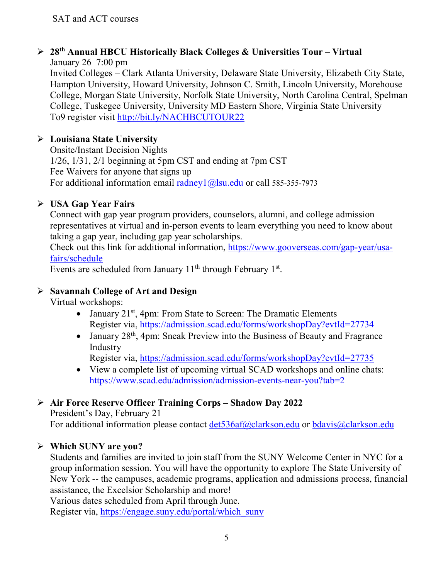#### **28th Annual HBCU Historically Black Colleges & Universities Tour – Virtual** January 26 7:00 pm

Invited Colleges – Clark Atlanta University, Delaware State University, Elizabeth City State, Hampton University, Howard University, Johnson C. Smith, Lincoln University, Morehouse College, Morgan State University, Norfolk State University, North Carolina Central, Spelman College, Tuskegee University, University MD Eastern Shore, Virginia State University To9 register visit<http://bit.ly/NACHBCUTOUR22>

# **Louisiana State University**

Onsite/Instant Decision Nights 1/26, 1/31, 2/1 beginning at 5pm CST and ending at 7pm CST Fee Waivers for anyone that signs up For additional information email [radney1@lsu.edu](mailto:radney1@lsu.edu) or call 585-355-7973

# **USA Gap Year Fairs**

Connect with gap year program providers, counselors, alumni, and college admission representatives at virtual and in-person events to learn everything you need to know about taking a gap year, including gap year scholarships.

Check out this link for additional information, [https://www.gooverseas.com/gap-year/usa](https://www.gooverseas.com/gap-year/usa-fairs/schedule)[fairs/schedule](https://www.gooverseas.com/gap-year/usa-fairs/schedule)

Events are scheduled from January  $11<sup>th</sup>$  through February  $1<sup>st</sup>$ .

# **Savannah College of Art and Design**

Virtual workshops:

- January  $21^{st}$ , 4pm: From State to Screen: The Dramatic Elements Register via,<https://admission.scad.edu/forms/workshopDay?evtId=27734>
- January  $28<sup>th</sup>$ , 4pm: Sneak Preview into the Business of Beauty and Fragrance Industry

Register via,<https://admission.scad.edu/forms/workshopDay?evtId=27735>

• View a complete list of upcoming virtual SCAD workshops and online chats: <https://www.scad.edu/admission/admission-events-near-you?tab=2>

### **Air Force Reserve Officer Training Corps – Shadow Day 2022**

President's Day, February 21 For additional information please contact [det536af@clarkson.edu](mailto:det536af@clarkson.edu) or [bdavis@clarkson.edu](mailto:bdavis@clarkson.edu)

### **Which SUNY are you?**

Students and families are invited to join staff from the SUNY Welcome Center in NYC for a group information session. You will have the opportunity to explore The State University of New York -- the campuses, academic programs, application and admissions process, financial assistance, the Excelsior Scholarship and more!

Various dates scheduled from April through June.

Register via, [https://engage.suny.edu/portal/which\\_suny](https://engage.suny.edu/portal/which_suny)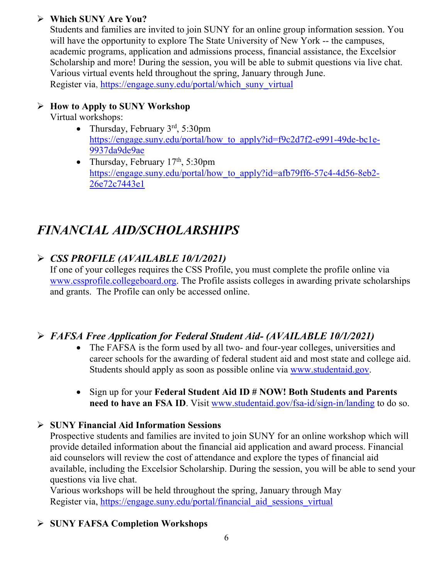#### **Which SUNY Are You?**

Students and families are invited to join SUNY for an online group information session. You will have the opportunity to explore The State University of New York -- the campuses, academic programs, application and admissions process, financial assistance, the Excelsior Scholarship and more! During the session, you will be able to submit questions via live chat. Various virtual events held throughout the spring, January through June. Register via, [https://engage.suny.edu/portal/which\\_suny\\_virtual](https://engage.suny.edu/portal/which_suny_virtual)

#### **How to Apply to SUNY Workshop**

Virtual workshops:

- Thursday, February  $3<sup>rd</sup>$ , 5:30pm [https://engage.suny.edu/portal/how\\_to\\_apply?id=f9c2d7f2-e991-49de-bc1e-](https://engage.suny.edu/portal/how_to_apply?id=f9c2d7f2-e991-49de-bc1e-9937da9de9ae)[9937da9de9ae](https://engage.suny.edu/portal/how_to_apply?id=f9c2d7f2-e991-49de-bc1e-9937da9de9ae)
- Thursday, February  $17<sup>th</sup>$ , 5:30pm [https://engage.suny.edu/portal/how\\_to\\_apply?id=afb79ff6-57c4-4d56-8eb2-](https://engage.suny.edu/portal/how_to_apply?id=afb79ff6-57c4-4d56-8eb2-26e72c7443e1) [26e72c7443e1](https://engage.suny.edu/portal/how_to_apply?id=afb79ff6-57c4-4d56-8eb2-26e72c7443e1)

# *FINANCIAL AID/SCHOLARSHIPS*

# *CSS PROFILE (AVAILABLE 10/1/2021)*

If one of your colleges requires the CSS Profile, you must complete the profile online via [www.cssprofile.collegeboard.org.](http://www.cssprofile.collegeboard.org/) The Profile assists colleges in awarding private scholarships and grants. The Profile can only be accessed online.

# *FAFSA Free Application for Federal Student Aid- (AVAILABLE 10/1/2021)*

- The FAFSA is the form used by all two- and four-year colleges, universities and career schools for the awarding of [federal student aid](http://studentaid.ed.gov/students/publications/student_guide/2010-2011/english/typesofFSA_grants.htm) and most state and college aid. Students should apply as soon as possible online via [www.studentaid.gov.](http://www.studentaid.gov/)
- Sign up for your **Federal Student Aid ID # NOW! Both Students and Parents need to have an FSA ID**. Visit [www.studentaid.gov/fsa-id/sign-in/landing](http://www.studentaid.gov/fsa-id/sign-in/landing) to do so.

### **SUNY Financial Aid Information Sessions**

Prospective students and families are invited to join SUNY for an online workshop which will provide detailed information about the financial aid application and award process. Financial aid counselors will review the cost of attendance and explore the types of financial aid available, including the Excelsior Scholarship. During the session, you will be able to send your questions via live chat.

Various workshops will be held throughout the spring, January through May Register via, https://engage.suny.edu/portal/financial aid sessions virtual

# **SUNY FAFSA Completion Workshops**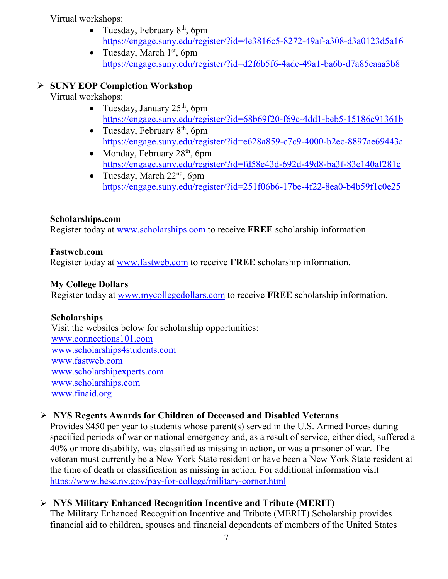Virtual workshops:

- Tuesday, February  $8<sup>th</sup>$ , 6pm <https://engage.suny.edu/register/?id=4e3816c5-8272-49af-a308-d3a0123d5a16>
- Tuesday, March  $1<sup>st</sup>$ , 6pm <https://engage.suny.edu/register/?id=d2f6b5f6-4adc-49a1-ba6b-d7a85eaaa3b8>

### **SUNY EOP Completion Workshop**

Virtual workshops:

- Tuesday, January  $25<sup>th</sup>$ , 6pm <https://engage.suny.edu/register/?id=68b69f20-f69c-4dd1-beb5-15186c91361b>
- Tuesday, February  $8<sup>th</sup>$ , 6pm <https://engage.suny.edu/register/?id=e628a859-c7c9-4000-b2ec-8897ae69443a>
- Monday, February  $28<sup>th</sup>$ , 6pm <https://engage.suny.edu/register/?id=fd58e43d-692d-49d8-ba3f-83e140af281c>
- Tuesday, March  $22<sup>nd</sup>$ , 6pm <https://engage.suny.edu/register/?id=251f06b6-17be-4f22-8ea0-b4b59f1c0e25>

#### **Scholarships.com**

Register today at [www.scholarships.com](http://www.scholarships.com/) to receive **FREE** scholarship information

#### **Fastweb.com**

Register today at [www.fastweb.com](http://www.fastweb.com/) to receive **FREE** scholarship information.

#### **My College Dollars**

Register today at [www.mycollegedollars.com](http://www.mycollegedollars.com/) to receive **FREE** scholarship information.

#### **Scholarships**

 Visit the websites below for scholarship opportunities: [www.connections101.com](http://www.connections101.com/) [www.scholarships4students.com](http://www.scholarships4students.com/) [www.fastweb.com](http://www.fastweb.com/) [www.scholarshipexperts.com](http://www.scholarshipexperts.com/) [www.scholarships.com](http://www.scholarships.com/) [www.finaid.org](http://www.finaid.org/)

### **NYS Regents Awards for Children of Deceased and Disabled Veterans**

Provides \$450 per year to students whose parent(s) served in the U.S. Armed Forces during specified periods of war or national emergency and, as a result of service, either died, suffered a 40% or more disability, was classified as missing in action, or was a prisoner of war. The veteran must currently be a New York State resident or have been a New York State resident at the time of death or classification as missing in action. For additional information visit <https://www.hesc.ny.gov/pay-for-college/military-corner.html>

### **NYS Military Enhanced Recognition Incentive and Tribute (MERIT)**

The Military Enhanced Recognition Incentive and Tribute (MERIT) Scholarship provides financial aid to children, spouses and financial dependents of members of the United States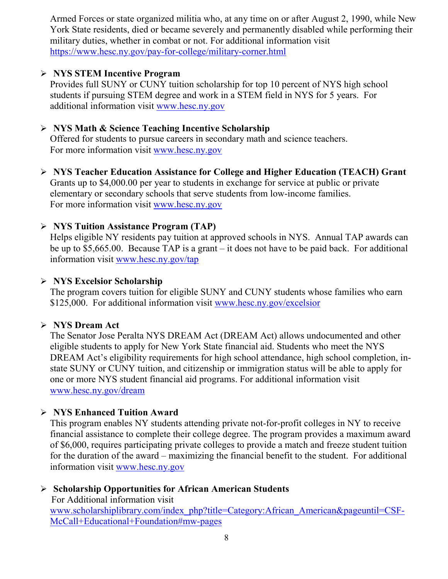Armed Forces or state organized militia who, at any time on or after August 2, 1990, while New York State residents, died or became severely and permanently disabled while performing their military duties, whether in combat or not. For additional information visit <https://www.hesc.ny.gov/pay-for-college/military-corner.html>

#### **NYS STEM Incentive Program**

Provides full SUNY or CUNY tuition scholarship for top 10 percent of NYS high school students if pursuing STEM degree and work in a STEM field in NYS for 5 years. For additional information visit [www.hesc.ny.gov](http://www.hesc.ny.gov/)

#### **NYS Math & Science Teaching Incentive Scholarship**

Offered for students to pursue careers in secondary math and science teachers. For more information visit [www.hesc.ny.gov](http://www.hesc.ny.gov/)

 **NYS Teacher Education Assistance for College and Higher Education (TEACH) Grant** Grants up to \$4,000.00 per year to students in exchange for service at public or private elementary or secondary schools that serve students from low-income families. For more information visit [www.hesc.ny.gov](http://www.hesc.ny.gov/) 

#### **NYS Tuition Assistance Program (TAP)**

Helps eligible NY residents pay tuition at approved schools in NYS. Annual TAP awards can be up to \$5,665.00. Because TAP is a grant – it does not have to be paid back. For additional information visit [www.hesc.ny.gov/tap](http://www.hesc.ny.gov/tap)

#### **NYS Excelsior Scholarship**

The program covers tuition for eligible SUNY and CUNY students whose families who earn \$125,000. For additional information visit [www.hesc.ny.gov/](http://www.hesc.ny.gov/)excelsior

#### **NYS Dream Act**

The Senator Jose Peralta NYS DREAM Act (DREAM Act) allows undocumented and other eligible students to apply for New York State financial aid. Students who meet the NYS DREAM Act's eligibility requirements for high school attendance, high school completion, instate SUNY or CUNY tuition, and citizenship or immigration status will be able to apply for one or more NYS student financial aid programs. For additional information visit [www.hesc.ny.gov/dream](http://www.hesc.ny.gov/dream)

#### **NYS Enhanced Tuition Award**

This program enables NY students attending private not-for-profit colleges in NY to receive financial assistance to complete their college degree. The program provides a maximum award of \$6,000, requires participating private colleges to provide a match and freeze student tuition for the duration of the award – maximizing the financial benefit to the student. For additional information visit [www.hesc.ny.gov](http://www.hesc.ny.gov/)

#### **Scholarship Opportunities for African American Students**

 For Additional information visit [www.scholarshiplibrary.com/index\\_php?title=Category:African\\_American&pageuntil=CSF-](http://www.scholarshiplibrary.com/index_php?title=Category:African_American&pageuntil=CSF-%20%20%20McCall+Educational+Foundation#mw-pages)[McCall+Educational+Foundation#mw-pages](http://www.scholarshiplibrary.com/index_php?title=Category:African_American&pageuntil=CSF-%20%20%20McCall+Educational+Foundation#mw-pages)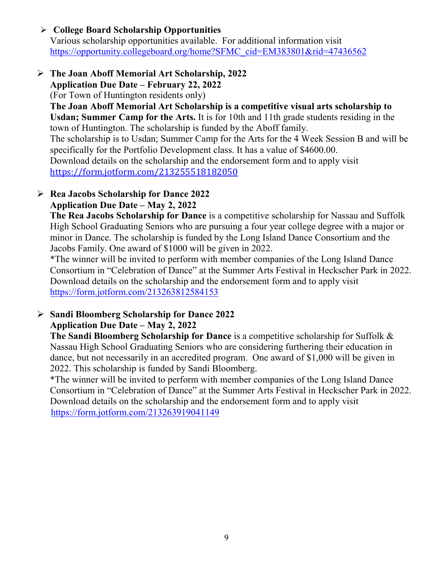# **College Board Scholarship Opportunities**

Various scholarship opportunities available. For additional information visit [https://opportunity.collegeboard.org/home?SFMC\\_cid=EM383801&rid=47436562](https://opportunity.collegeboard.org/home?SFMC_cid=EM383801&rid=47436562)

#### **The Joan Aboff Memorial Art Scholarship, 2022 Application Due Date – February 22, 2022**

(For Town of Huntington residents only)

**The Joan Aboff Memorial Art Scholarship is a competitive visual arts scholarship to Usdan; Summer Camp for the Arts.** It is for 10th and 11th grade students residing in the town of Huntington. The scholarship is funded by the Aboff family.

The scholarship is to Usdan; Summer Camp for the Arts for the 4 Week Session B and will be specifically for the Portfolio Development class. It has a value of \$4600.00.

Download details on the scholarship and the endorsement form and to apply visit <https://form.jotform.com/213255518182050>

# **Rea Jacobs Scholarship for Dance 2022**

### **Application Due Date – May 2, 2022**

**The Rea Jacobs Scholarship for Dance** is a competitive scholarship for Nassau and Suffolk High School Graduating Seniors who are pursuing a four year college degree with a major or minor in Dance. The scholarship is funded by the Long Island Dance Consortium and the Jacobs Family. One award of \$1000 will be given in 2022.

\*The winner will be invited to perform with member companies of the Long Island Dance Consortium in "Celebration of Dance" at the Summer Arts Festival in Heckscher Park in 2022. Download details on the scholarship and the endorsement form and to apply visit <https://form.jotform.com/213263812584153>

#### **Sandi Bloomberg Scholarship for Dance 2022 Application Due Date – May 2, 2022**

**The Sandi Bloomberg Scholarship for Dance** is a competitive scholarship for Suffolk & Nassau High School Graduating Seniors who are considering furthering their education in dance, but not necessarily in an accredited program. One award of \$1,000 will be given in 2022. This scholarship is funded by Sandi Bloomberg.

\*The winner will be invited to perform with member companies of the Long Island Dance Consortium in "Celebration of Dance" at the Summer Arts Festival in Heckscher Park in 2022. Download details on the scholarship and the endorsement form and to apply visit <https://form.jotform.com/213263919041149>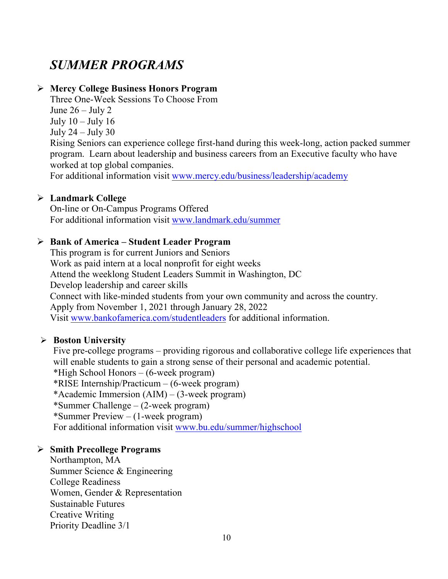# *SUMMER PROGRAMS*

#### **Mercy College Business Honors Program**

Three One-Week Sessions To Choose From June  $26 -$  July 2 July  $10 -$ July  $16$ July  $24$  – July  $30$ 

Rising Seniors can experience college first-hand during this week-long, action packed summer program. Learn about leadership and business careers from an Executive faculty who have worked at top global companies.

For additional information visit [www.mercy.edu/business/leadership/academy](http://www.mercy.edu/business/leadership/academy)

#### **Landmark College**

On-line or On-Campus Programs Offered For additional information visit [www.landmark.edu/summer](http://www.landmark.edu/summer)

#### **Bank of America – Student Leader Program**

This program is for current Juniors and Seniors Work as paid intern at a local nonprofit for eight weeks Attend the weeklong Student Leaders Summit in Washington, DC Develop leadership and career skills Connect with like-minded students from your own community and across the country. Apply from November 1, 2021 through January 28, 2022 Visit [www.bankofamerica.com/studentleaders](http://www.bankofamerica.com/studentleaders) for additional information.

#### **Boston University**

Five pre-college programs – providing rigorous and collaborative college life experiences that will enable students to gain a strong sense of their personal and academic potential. \*High School Honors – (6-week program) \*RISE Internship/Practicum – (6-week program) \*Academic Immersion (AIM) – (3-week program) \*Summer Challenge – (2-week program) \*Summer Preview – (1-week program) For additional information visit [www.bu.edu/summer/highschool](http://www.bu.edu/summer/highschool)

#### **Smith Precollege Programs**

Northampton, MA Summer Science & Engineering College Readiness Women, Gender & Representation Sustainable Futures Creative Writing Priority Deadline 3/1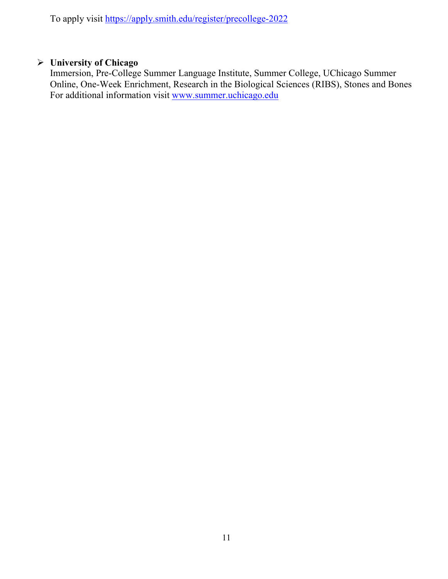To apply visit<https://apply.smith.edu/register/precollege-2022>

#### **University of Chicago**

Immersion, Pre-College Summer Language Institute, Summer College, UChicago Summer Online, One-Week Enrichment, Research in the Biological Sciences (RIBS), Stones and Bones For additional information visit [www.summer.uchicago.edu](http://www.summer.uchicago.edu/)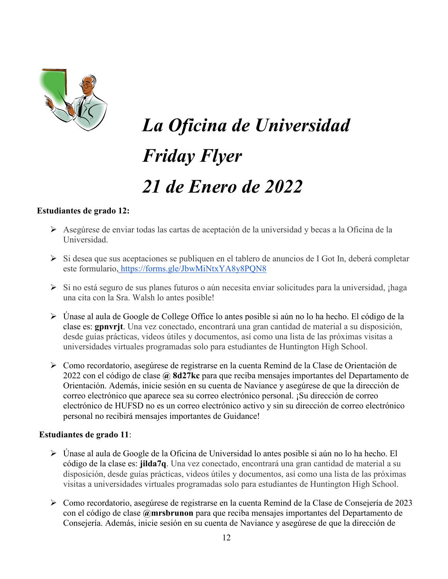

# *La Oficina de Universidad Friday Flyer 21 de Enero de 2022*

#### **Estudiantes de grado 12:**

- Asegúrese de enviar todas las cartas de aceptación de la universidad y becas a la Oficina de la Universidad.
- $\triangleright$  Si desea que sus aceptaciones se publiquen en el tablero de anuncios de I Got In, deberá completar este formulario, <https://forms.gle/JbwMiNtxYA8y8PQN8>
- $\triangleright$  Si no está seguro de sus planes futuros o aún necesita enviar solicitudes para la universidad, ; haga una cita con la Sra. Walsh lo antes posible!
- Únase al aula de Google de College Office lo antes posible si aún no lo ha hecho. El código de la clase es: **gpnvrjt**. Una vez conectado, encontrará una gran cantidad de material a su disposición, desde guías prácticas, videos útiles y documentos, así como una lista de las próximas visitas a universidades virtuales programadas solo para estudiantes de Huntington High School.
- Como recordatorio, asegúrese de registrarse en la cuenta Remind de la Clase de Orientación de 2022 con el código de clase **@ 8d27kc** para que reciba mensajes importantes del Departamento de Orientación. Además, inicie sesión en su cuenta de Naviance y asegúrese de que la dirección de correo electrónico que aparece sea su correo electrónico personal. ¡Su dirección de correo electrónico de HUFSD no es un correo electrónico activo y sin su dirección de correo electrónico personal no recibirá mensajes importantes de Guidance!

#### **Estudiantes de grado 11**:

- Únase al aula de Google de la Oficina de Universidad lo antes posible si aún no lo ha hecho. El código de la clase es: **jilda7q**. Una vez conectado, encontrará una gran cantidad de material a su disposición, desde guías prácticas, videos útiles y documentos, así como una lista de las próximas visitas a universidades virtuales programadas solo para estudiantes de Huntington High School.
- Como recordatorio, asegúrese de registrarse en la cuenta Remind de la Clase de Consejería de 2023 con el código de clase **@mrsbrunon** para que reciba mensajes importantes del Departamento de Consejería. Además, inicie sesión en su cuenta de Naviance y asegúrese de que la dirección de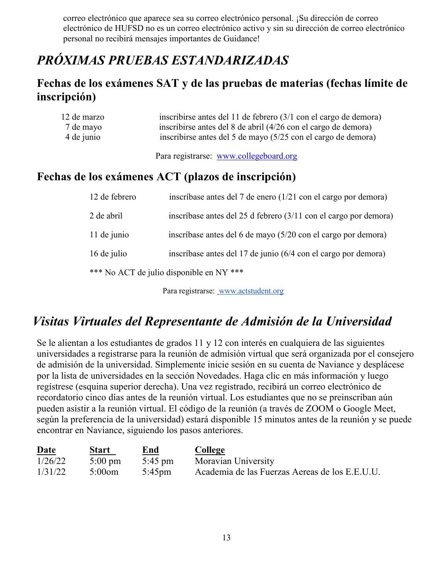correo electrónico que aparece sea su correo electrónico personal. ¡Su dirección de correo electrónico de HUFSD no es un correo electrónico activo y sin su dirección de correo electrónico personal no recibirá mensajes importantes de Guidance!

# *PRÓXIMAS PRUEBAS ESTANDARIZADAS*

# **Fechas de los exámenes SAT y de las pruebas de materias (fechas límite de inscripción)**

| 12 de marzo<br>7 de mayo<br>4 de junio             | inscribirse antes del 11 de febrero (3/1 con el cargo de demora)<br>inscribirse antes del 8 de abril (4/26 con el cargo de demora)<br>inscribirse antes del 5 de mayo (5/25 con el cargo de demora) |  |  |  |  |
|----------------------------------------------------|-----------------------------------------------------------------------------------------------------------------------------------------------------------------------------------------------------|--|--|--|--|
|                                                    | Para registrarse: www.collegeboard.org                                                                                                                                                              |  |  |  |  |
| Fechas de los exámenes ACT (plazos de inscripción) |                                                                                                                                                                                                     |  |  |  |  |
| 12 de febrero                                      | inscríbase antes del 7 de enero (1/21 con el cargo por demora)                                                                                                                                      |  |  |  |  |
| 2 de abril                                         | inscríbase antes del 25 d febrero $(3/11 \text{ con el cargo por demon})$                                                                                                                           |  |  |  |  |
| 11 de junio                                        | inscríbase antes del 6 de mayo (5/20 con el cargo por demora)                                                                                                                                       |  |  |  |  |
| 16 de julio                                        | inscríbase antes del 17 de junio (6/4 con el cargo por demora)                                                                                                                                      |  |  |  |  |

\*\*\* No ACT de julio disponible en NY \*\*\*

Para registrarse: [www.actstudent.org](http://www.actstudent.org/)

# *Visitas Virtuales del Representante de Admisión de la Universidad*

Se le alientan a los estudiantes de grados 11 y 12 con interés en cualquiera de las siguientes universidades a registrarse para la reunión de admisión virtual que será organizada por el consejero de admisión de la universidad. Simplemente inicie sesión en su cuenta de Naviance y desplácese por la lista de universidades en la sección Novedades. Haga clic en más información y luego regístrese (esquina superior derecha). Una vez registrado, recibirá un correo electrónico de recordatorio cinco días antes de la reunión virtual. Los estudiantes que no se preinscriban aún pueden asistir a la reunión virtual. El código de la reunión (a través de ZOOM o Google Meet, según la preferencia de la universidad) estará disponible 15 minutos antes de la reunión y se puede encontrar en Naviance, siguiendo los pasos anteriores.

| Date    | <b>Start</b>      | End<br>______     | College                                        |
|---------|-------------------|-------------------|------------------------------------------------|
| 1/26/22 | $5:00 \text{ pm}$ | $5:45 \text{ pm}$ | Moravian University                            |
| 1/31/22 | $5:00$ om         | 5:45pm            | Academia de las Fuerzas Aereas de los E.E.U.U. |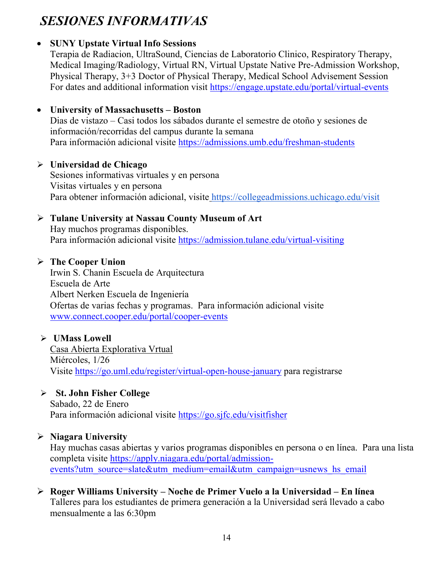# *SESIONES INFORMATIVAS*

# • **SUNY Upstate Virtual Info Sessions**

Terapia de Radiacion, UltraSound, Ciencias de Laboratorio Clinico, Respiratory Therapy, Medical Imaging/Radiology, Virtual RN, Virtual Upstate Native Pre-Admission Workshop, Physical Therapy, 3+3 Doctor of Physical Therapy, Medical School Advisement Session For dates and additional information visit<https://engage.upstate.edu/portal/virtual-events>

# • **University of Massachusetts – Boston**

Dias de vistazo – Casi todos los sábados durante el semestre de otoño y sesiones de información/recorridas del campus durante la semana Para información adicional visite<https://admissions.umb.edu/freshman-students>

# **Universidad de Chicago**

Sesiones informativas virtuales y en persona Visitas virtuales y en persona Para obtener información adicional, visite <https://collegeadmissions.uchicago.edu/visit>

# **Tulane University at Nassau County Museum of Art**

Hay muchos programas disponibles. Para información adicional visite <https://admission.tulane.edu/virtual-visiting>

# **The Cooper Union**

Irwin S. Chanin Escuela de Arquitectura Escuela de Arte Albert Nerken Escuela de Ingeniería Ofertas de varias fechas y programas. Para información adicional visite [www.connect.cooper.edu/portal/cooper-events](http://www.connect.cooper.edu/portal/cooper-events)

# **UMass Lowell**

Casa Abierta Explorativa Vrtual Miércoles, 1/26 Visite<https://go.uml.edu/register/virtual-open-house-january> para registrarse

# **St. John Fisher College**

Sabado, 22 de Enero Para información adicional visite<https://go.sjfc.edu/visitfisher>

# **Niagara University**

Hay muchas casas abiertas y varios programas disponibles en persona o en línea. Para una lista completa visite [https://apply.niagara.edu/portal/admission](https://apply.niagara.edu/portal/admission-events?utm_source=slate&utm_medium=email&utm_campaign=usnews_hs_email)[events?utm\\_source=slate&utm\\_medium=email&utm\\_campaign=usnews\\_hs\\_email](https://apply.niagara.edu/portal/admission-events?utm_source=slate&utm_medium=email&utm_campaign=usnews_hs_email)

#### **Roger Williams University – Noche de Primer Vuelo a la Universidad – En línea** Talleres para los estudiantes de primera generación a la Universidad será llevado a cabo mensualmente a las 6:30pm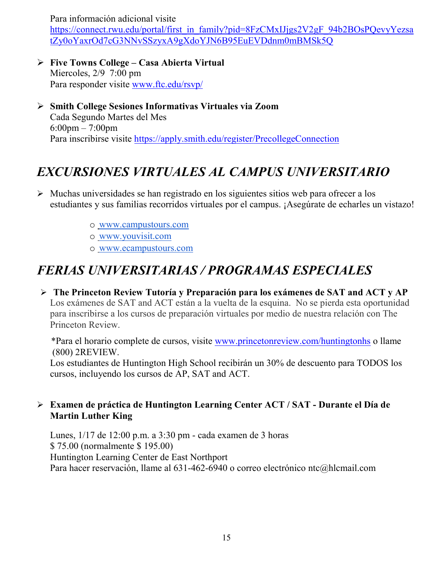Para información adicional visite

[https://connect.rwu.edu/portal/first\\_in\\_family?pid=8FzCMxIJjgs2V2gF\\_94b2BOsPQevyYezsa](https://connect.rwu.edu/portal/first_in_family?pid=8FzCMxIJjgs2V2gF_94b2BOsPQevyYezsatZy0oYaxrOd7cG3NNvSSzyxA9gXdoYJN6B95EuEVDdnm0mBMSk5Q) [tZy0oYaxrOd7cG3NNvSSzyxA9gXdoYJN6B95EuEVDdnm0mBMSk5Q](https://connect.rwu.edu/portal/first_in_family?pid=8FzCMxIJjgs2V2gF_94b2BOsPQevyYezsatZy0oYaxrOd7cG3NNvSSzyxA9gXdoYJN6B95EuEVDdnm0mBMSk5Q)

- **Five Towns College – Casa Abierta Virtual** Miercoles, 2/9 7:00 pm Para responder visite [www.ftc.edu/rsvp/](http://www.ftc.edu/rsvp/)
- **Smith College Sesiones Informativas Virtuales via Zoom** Cada Segundo Martes del Mes 6:00pm – 7:00pm Para inscribirse visite<https://apply.smith.edu/register/PrecollegeConnection>

# *EXCURSIONES VIRTUALES AL CAMPUS UNIVERSITARIO*

- $\triangleright$  Muchas universidades se han registrado en los siguientes sitios web para ofrecer a los estudiantes y sus familias recorridos virtuales por el campus. ¡Asegúrate de echarles un vistazo!
	- o [www.campustours.com](http://www.campustours.com/)
	- o [www.youvisit.com](http://www.youvisit.com/)
	- o [www.ecampustours.com](http://www.ecampustours.com/)

# *FERIAS UNIVERSITARIAS / PROGRAMAS ESPECIALES*

 **The Princeton Review Tutoría y Preparación para los exámenes de SAT and ACT y AP**  Los exámenes de SAT and ACT están a la vuelta de la esquina. No se pierda esta oportunidad para inscribirse a los cursos de preparación virtuales por medio de nuestra relación con The Princeton Review.

 \*Para el horario complete de cursos, visite [www.princetonreview.com/huntingtonhs](http://www.princetonreview.com/huntingtonhs) o llame (800) 2REVIEW.

Los estudiantes de Huntington High School recibirán un 30% de descuento para TODOS los cursos, incluyendo los cursos de AP, SAT and ACT.

#### **Examen de práctica de Huntington Learning Center ACT / SAT - Durante el Día de Martin Luther King**

Lunes, 1/17 de 12:00 p.m. a 3:30 pm - cada examen de 3 horas \$ 75.00 (normalmente \$ 195.00) Huntington Learning Center de East Northport Para hacer reservación, llame al 631-462-6940 o correo electrónico ntc@hlcmail.com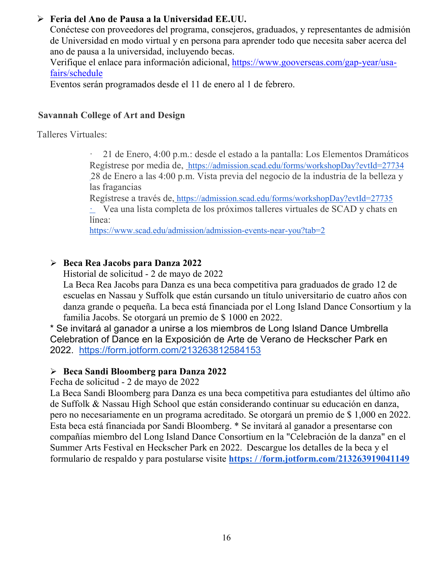#### **Feria del Ano de Pausa a la Universidad EE.UU.**

Conéctese con proveedores del programa, consejeros, graduados, y representantes de admisión de Universidad en modo virtual y en persona para aprender todo que necesita saber acerca del ano de pausa a la universidad, incluyendo becas.

Verifique el enlace para información adicional, [https://www.gooverseas.com/gap-year/usa](https://www.gooverseas.com/gap-year/usa-fairs/schedule)[fairs/schedule](https://www.gooverseas.com/gap-year/usa-fairs/schedule)

Eventos serán programados desde el 11 de enero al 1 de febrero.

#### **Savannah College of Art and Design**

Talleres Virtuales:

· 21 de Enero, 4:00 p.m.: desde el estado a la pantalla: Los Elementos Dramáticos Regístrese por media de,<https://admission.scad.edu/forms/workshopDay?evtId=27734> 28 de Enero a las 4:00 p.m. Vista previa del negocio de la industria de la belleza y las fragancias

Regístrese a través de, <https://admission.scad.edu/forms/workshopDay?evtId=27735>

· Vea una lista completa de los próximos talleres virtuales de SCAD y chats en línea:

<https://www.scad.edu/admission/admission-events-near-you?tab=2>

#### **Beca Rea Jacobs para Danza 2022**

Historial de solicitud - 2 de mayo de 2022

La Beca Rea Jacobs para Danza es una beca competitiva para graduados de grado 12 de escuelas en Nassau y Suffolk que están cursando un título universitario de cuatro años con danza grande o pequeña. La beca está financiada por el Long Island Dance Consortium y la familia Jacobs. Se otorgará un premio de \$ 1000 en 2022.

\* Se invitará al ganador a unirse a los miembros de Long Island Dance Umbrella Celebration of Dance en la Exposición de Arte de Verano de Heckscher Park en 2022. <https://form.jotform.com/213263812584153>

#### **Beca Sandi Bloomberg para Danza 2022**

Fecha de solicitud - 2 de mayo de 2022

La Beca Sandi Bloomberg para Danza es una beca competitiva para estudiantes del último año de Suffolk & Nassau High School que están considerando continuar su educación en danza, pero no necesariamente en un programa acreditado. Se otorgará un premio de \$ 1,000 en 2022. Esta beca está financiada por Sandi Bloomberg. \* Se invitará al ganador a presentarse con compañías miembro del Long Island Dance Consortium en la "Celebración de la danza" en el Summer Arts Festival en Heckscher Park en 2022. Descargue los detalles de la beca y el formulario de respaldo y para postularse visite **[https: / /form.jotform.com/213263919041149](https://form.jotform.com/213263919041149)**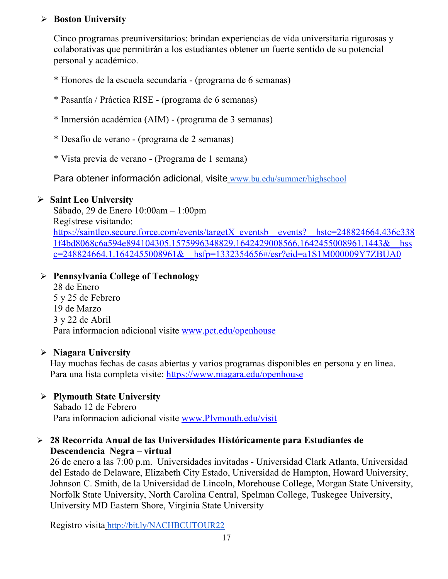#### **Boston University**

Cinco programas preuniversitarios: brindan experiencias de vida universitaria rigurosas y colaborativas que permitirán a los estudiantes obtener un fuerte sentido de su potencial personal y académico.

- \* Honores de la escuela secundaria (programa de 6 semanas)
- \* Pasantía / Práctica RISE (programa de 6 semanas)
- \* Inmersión académica (AIM) (programa de 3 semanas)
- \* Desafío de verano (programa de 2 semanas)
- \* Vista previa de verano (Programa de 1 semana)

Para obtener información adicional, visite [www.bu.edu/summer/highschool](http://www.bu.edu/summer/highschool)

#### **Saint Leo University**

Sábado, 29 de Enero 10:00am – 1:00pm Regístrese visitando: [https://saintleo.secure.force.com/events/targetX\\_eventsb\\_\\_events?\\_\\_hstc=248824664.436c338](https://saintleo.secure.force.com/events/targetX_eventsb__events?__hstc=248824664.436c3381f4bd8068c6a594e894104305.1575996348829.1642429008566.1642455008961.1443&__hssc=248824664.1.1642455008961&__hsfp=1332354656#/esr?eid=a1S1M000009Y7ZBUA0) [1f4bd8068c6a594e894104305.1575996348829.1642429008566.1642455008961.1443&\\_\\_hss](https://saintleo.secure.force.com/events/targetX_eventsb__events?__hstc=248824664.436c3381f4bd8068c6a594e894104305.1575996348829.1642429008566.1642455008961.1443&__hssc=248824664.1.1642455008961&__hsfp=1332354656#/esr?eid=a1S1M000009Y7ZBUA0) [c=248824664.1.1642455008961&\\_\\_hsfp=1332354656#/esr?eid=a1S1M000009Y7ZBUA0](https://saintleo.secure.force.com/events/targetX_eventsb__events?__hstc=248824664.436c3381f4bd8068c6a594e894104305.1575996348829.1642429008566.1642455008961.1443&__hssc=248824664.1.1642455008961&__hsfp=1332354656#/esr?eid=a1S1M000009Y7ZBUA0)

### **Pennsylvania College of Technology**

28 de Enero 5 y 25 de Febrero 19 de Marzo 3 y 22 de Abril Para informacion adicional visite [www.pct.edu/openhouse](http://www.pct.edu/openhouse)

#### **Niagara University**

Hay muchas fechas de casas abiertas y varios programas disponibles en persona y en línea. Para una lista completa visite:<https://www.niagara.edu/openhouse>

#### **Plymouth State University**

Sabado 12 de Febrero Para informacion adicional visite [www.Plymouth.edu/visit](http://www.plymouth.edu/visit)

#### **28 Recorrida Anual de las Universidades Históricamente para Estudiantes de Descendencia Negra – virtual**

26 de enero a las 7:00 p.m. Universidades invitadas - Universidad Clark Atlanta, Universidad del Estado de Delaware, Elizabeth City Estado, Universidad de Hampton, Howard University, Johnson C. Smith, de la Universidad de Lincoln, Morehouse College, Morgan State University, Norfolk State University, North Carolina Central, Spelman College, Tuskegee University, University MD Eastern Shore, Virginia State University

Registro visita <http://bit.ly/NACHBCUTOUR22>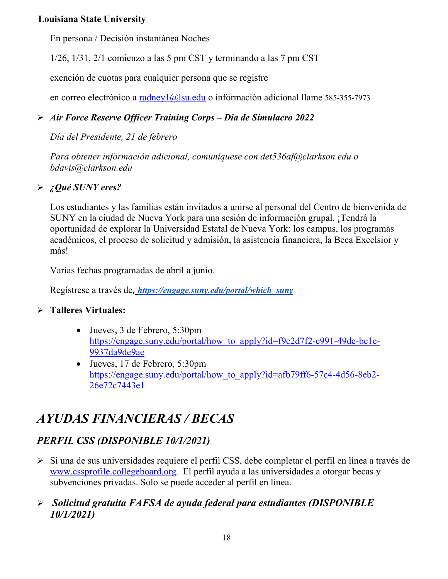#### **Louisiana State University**

En persona / Decisión instantánea Noches

1/26, 1/31, 2/1 comienzo a las 5 pm CST y terminando a las 7 pm CST

exención de cuotas para cualquier persona que se registre

en correo electrónico a [radney1@lsu.edu](mailto:radney1@lsu.edu) o información adicional llame 585-355-7973

# *Air Force Reserve Officer Training Corps – Dia de Simulacro 2022*

*Día del Presidente, 21 de febrero*

*Para obtener información adicional, comuníquese con det536af@clarkson.edu o bdavis@clarkson.edu*

# *¿Qué SUNY eres?*

Los estudiantes y las familias están invitados a unirse al personal del Centro de bienvenida de SUNY en la ciudad de Nueva York para una sesión de información grupal. ¡Tendrá la oportunidad de explorar la Universidad Estatal de Nueva York: los campus, los programas académicos, el proceso de solicitud y admisión, la asistencia financiera, la Beca Excelsior y más!

Varias fechas programadas de abril a junio.

Regístrese a través de*, [https://engage.suny.edu/portal/which\\_suny](https://engage.suny.edu/portal/which_suny)*

### **Talleres Virtuales:**

- Jueves, 3 de Febrero, 5:30pm [https://engage.suny.edu/portal/how\\_to\\_apply?id=f9c2d7f2-e991-49de-bc1e-](https://engage.suny.edu/portal/how_to_apply?id=f9c2d7f2-e991-49de-bc1e-9937da9de9ae)[9937da9de9ae](https://engage.suny.edu/portal/how_to_apply?id=f9c2d7f2-e991-49de-bc1e-9937da9de9ae)
- Jueves, 17 de Febrero, 5:30pm [https://engage.suny.edu/portal/how\\_to\\_apply?id=afb79ff6-57c4-4d56-8eb2-](https://engage.suny.edu/portal/how_to_apply?id=afb79ff6-57c4-4d56-8eb2-26e72c7443e1) [26e72c7443e1](https://engage.suny.edu/portal/how_to_apply?id=afb79ff6-57c4-4d56-8eb2-26e72c7443e1)

# *AYUDAS FINANCIERAS / BECAS*

# *PERFIL CSS (DISPONIBLE 10/1/2021)*

 Si una de sus universidades requiere el perfil CSS, debe completar el perfil en línea a través d[e](http://www.collegeboard.org/) [www.cssprofile.collegeboard.org.](http://www.collegeboard.org/) El perfil ayuda a las universidades a otorgar becas y subvenciones privadas. Solo se puede acceder al perfil en línea.

# *Solicitud gratuita FAFSA de ayuda federal para estudiantes (DISPONIBLE 10/1/2021)*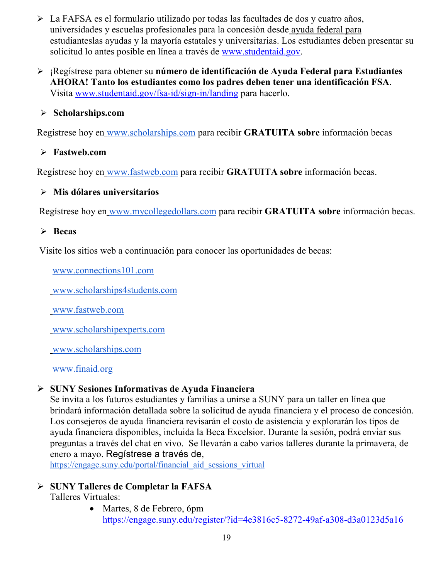- La FAFSA es el formulario utilizado por todas las facultades de dos y cuatro años, universidades y escuelas profesionales para la concesión desde [ayuda federal para](http://studentaid.ed.gov/students/publications/student_guide/2010-2011/english/typesofFSA_grants.htm)  [estudianteslas ayudas](http://studentaid.ed.gov/students/publications/student_guide/2010-2011/english/typesofFSA_grants.htm) y la mayoría estatales y universitarias. Los estudiantes deben presentar su solicitud lo antes posible en línea a través de [www.studentaid.gov.](http://www.studentaid.gov/)
- ¡Regístrese para obtener su **número de identificación de Ayuda Federal para Estudiantes AHORA! Tanto los estudiantes como los padres deben tener una identificación FSA**. Visita [www.studentaid.gov/fsa-id/sign-in/landing](http://www.studentaid.gov/fsa-id/sign-in/landing) para hacerlo.

#### **Scholarships.com**

Regístrese hoy en [www.scholarships.com](http://www.scholarships.com/) para recibir **GRATUITA sobre** información becas

#### **Fastweb.com**

Regístrese hoy en [www.fastweb.com](http://www.fastweb.com/) para recibir **GRATUITA sobre** información becas.

#### **Mis dólares universitarios**

Regístrese hoy en [www.mycollegedollars.com](http://www.mycollegedollars.com/) para recibir **GRATUITA sobre** información becas.

#### **Becas**

Visite los sitios web a continuación para conocer las oportunidades de becas:

[www.connections101.com](http://www.connections101.com/)

[www.scholarships4students.com](http://www.scholarships4students.com/)

[www.fastweb.com](http://www.fastweb.com/)

[www.scholarshipexperts.com](http://www.scholarshipexperts.com/)

[www.scholarships.com](http://www.scholarships.com/)

[www.finaid.org](http://www.finaid.org/)

#### **SUNY Sesiones Informativas de Ayuda Financiera**

Se invita a los futuros estudiantes y familias a unirse a SUNY para un taller en línea que brindará información detallada sobre la solicitud de ayuda financiera y el proceso de concesión. Los consejeros de ayuda financiera revisarán el costo de asistencia y explorarán los tipos de ayuda financiera disponibles, incluida la Beca Excelsior. Durante la sesión, podrá enviar sus preguntas a través del chat en vivo. Se llevarán a cabo varios talleres durante la primavera, de enero a mayo. Regístrese a través de[,](https://engage.suny.edu/portal/financial_aid_sessions_virtual)

[https://engage.suny.edu/portal/financial\\_aid\\_sessions\\_virtual](https://engage.suny.edu/portal/financial_aid_sessions_virtual)

#### **SUNY Talleres de Completar la FAFSA**

Talleres Virtuales:

• Martes, 8 de Febrero, 6pm <https://engage.suny.edu/register/?id=4e3816c5-8272-49af-a308-d3a0123d5a16>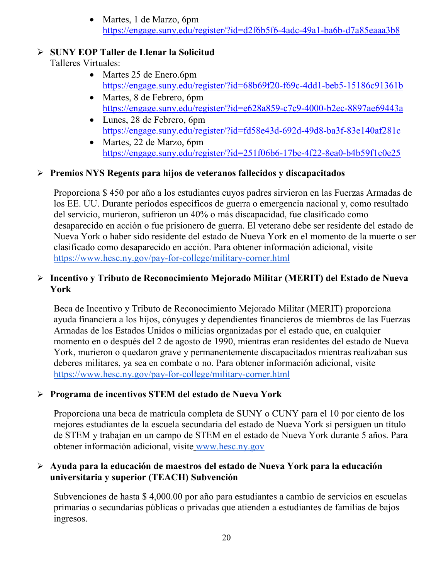• Martes, 1 de Marzo, 6pm <https://engage.suny.edu/register/?id=d2f6b5f6-4adc-49a1-ba6b-d7a85eaaa3b8>

#### **SUNY EOP Taller de Llenar la Solicitud**

Talleres Virtuales:

- Martes 25 de Enero.6pm <https://engage.suny.edu/register/?id=68b69f20-f69c-4dd1-beb5-15186c91361b>
- Martes, 8 de Febrero, 6pm <https://engage.suny.edu/register/?id=e628a859-c7c9-4000-b2ec-8897ae69443a>
- Lunes, 28 de Febrero, 6pm <https://engage.suny.edu/register/?id=fd58e43d-692d-49d8-ba3f-83e140af281c>
- Martes, 22 de Marzo, 6pm <https://engage.suny.edu/register/?id=251f06b6-17be-4f22-8ea0-b4b59f1c0e25>

#### **Premios NYS Regents para hijos de veteranos fallecidos y discapacitados**

Proporciona \$ 450 por año a los estudiantes cuyos padres sirvieron en las Fuerzas Armadas de los EE. UU. Durante períodos específicos de guerra o emergencia nacional y, como resultado del servicio, murieron, sufrieron un 40% o más discapacidad, fue clasificado como desaparecido en acción o fue prisionero de guerra. El veterano debe ser residente del estado de Nueva York o haber sido residente del estado de Nueva York en el momento de la muerte o ser clasificado como desaparecido en acción. Para obtener información adicional, visit[e](https://www.hesc.ny.gov/pay-for-college/military-corner.html) <https://www.hesc.ny.gov/pay-for-college/military-corner.html>

### **Incentivo y Tributo de Reconocimiento Mejorado Militar (MERIT) del Estado de Nueva York**

Beca de Incentivo y Tributo de Reconocimiento Mejorado Militar (MERIT) proporciona ayuda financiera a los hijos, cónyuges y dependientes financieros de miembros de las Fuerzas Armadas de los Estados Unidos o milicias organizadas por el estado que, en cualquier momento en o después del 2 de agosto de 1990, mientras eran residentes del estado de Nueva York, murieron o quedaron grave y permanentemente discapacitados mientras realizaban sus deberes militares, ya sea en combate o no. Para obtener información adicional, visit[e](https://www.hesc.ny.gov/pay-for-college/military-corner.html) <https://www.hesc.ny.gov/pay-for-college/military-corner.html>

### **Programa de incentivos STEM del estado de Nueva York**

Proporciona una beca de matrícula completa de SUNY o CUNY para el 10 por ciento de los mejores estudiantes de la escuela secundaria del estado de Nueva York si persiguen un título de STEM y trabajan en un campo de STEM en el estado de Nueva York durante 5 años. Para obtener información adicional, visite [www.hesc.ny.gov](http://www.hesc.ny.gov/)

#### **Ayuda para la educación de maestros del estado de Nueva York para la educación universitaria y superior (TEACH) Subvención**

Subvenciones de hasta \$ 4,000.00 por año para estudiantes a cambio de servicios en escuelas primarias o secundarias públicas o privadas que atienden a estudiantes de familias de bajos ingresos.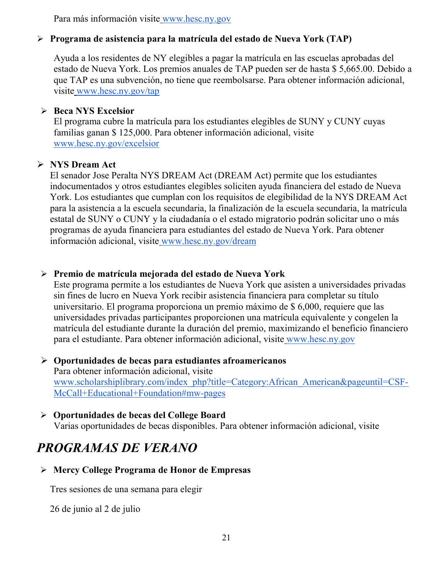Para más información visite [www.hesc.ny.gov](http://www.hesc.ny.gov/) 

### **Programa de asistencia para la matrícula del estado de Nueva York (TAP)**

Ayuda a los residentes de NY elegibles a pagar la matrícula en las escuelas aprobadas del estado de Nueva York. Los premios anuales de TAP pueden ser de hasta \$ 5,665.00. Debido a que TAP es una subvención, no tiene que reembolsarse. Para obtener información adicional, visite [www.hesc.ny.gov/tap](http://www.hesc.ny.gov/tap)

#### **Beca NYS Excelsior**

El programa cubre la matrícula para los estudiantes elegibles de SUNY y CUNY cuyas familias ganan \$ 125,000. Para obtener información adicional, visit[e](http://www.hesc.ny.gov/) [www.hesc.ny.gov/](http://www.hesc.ny.gov/)excelsior

#### **NYS Dream Act**

El senador Jose Peralta NYS DREAM Act (DREAM Act) permite que los estudiantes indocumentados y otros estudiantes elegibles soliciten ayuda financiera del estado de Nueva York. Los estudiantes que cumplan con los requisitos de elegibilidad de la NYS DREAM Act para la asistencia a la escuela secundaria, la finalización de la escuela secundaria, la matrícula estatal de SUNY o CUNY y la ciudadanía o el estado migratorio podrán solicitar uno o más programas de ayuda financiera para estudiantes del estado de Nueva York. Para obtener información adicional, visite [www.hesc.ny.gov/dream](http://www.hesc.ny.gov/dream)

#### **Premio de matrícula mejorada del estado de Nueva York**

Este programa permite a los estudiantes de Nueva York que asisten a universidades privadas sin fines de lucro en Nueva York recibir asistencia financiera para completar su título universitario. El programa proporciona un premio máximo de \$ 6,000, requiere que las universidades privadas participantes proporcionen una matrícula equivalente y congelen la matrícula del estudiante durante la duración del premio, maximizando el beneficio financiero para el estudiante. Para obtener información adicional, visite [www.hesc.ny.gov](http://www.hesc.ny.gov/)

- **Oportunidades de becas para estudian[tes afroamericanos](http://www.scholarshiplibrary.com/index_php?title=Category:African_American&pageuntil=CSF-McCall+Educational+Foundation#mw-pages)** Para obtener información adicional, visite [www.scholarshiplibrary.com/index\\_php?title=Category:African\\_American&pageuntil=CSF-](http://www.scholarshiplibrary.com/index_php?title=Category:African_American&pageuntil=CSF-McCall+Educational+Foundation#mw-pages)[McCall+Educational+Foundation#mw-pages](http://www.scholarshiplibrary.com/index_php?title=Category:African_American&pageuntil=CSF-McCall+Educational+Foundation#mw-pages)
- **Oportunidades de becas del College Board** Varias oportunidades de becas disponibles. Para obtener información adicional, visite

# *PROGRAMAS DE VERANO*

**Mercy College Programa de Honor de Empresas**

Tres sesiones de una semana para elegir

26 de junio al 2 de julio